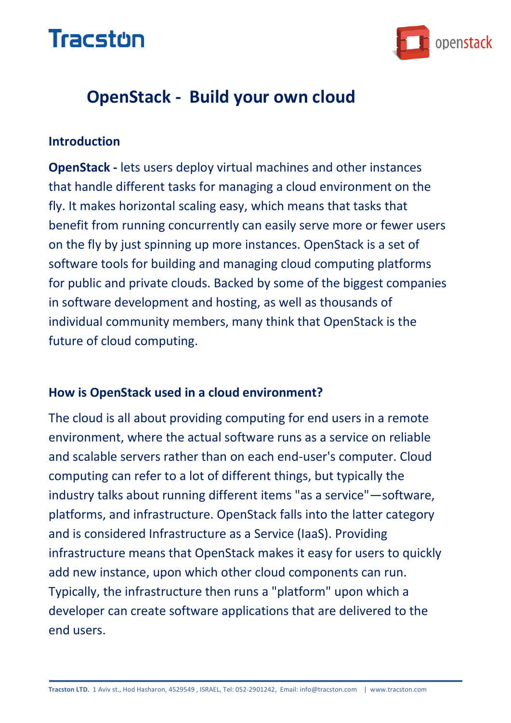

### **OpenStack - Build your own cloud**

#### **Introduction**

**OpenStack -** lets users deploy virtual machines and other instances that handle different tasks for managing a cloud environment on the fly. It makes horizontal scaling easy, which means that tasks that benefit from running concurrently can easily serve more or fewer users on the fly by just spinning up more instances. OpenStack is a set of software tools for building and managing cloud computing platforms for public and private clouds. Backed by some of the biggest companies in software development and hosting, as well as thousands of individual community members, many think that OpenStack is the future of cloud computing.

#### **How is OpenStack used in a cloud environment?**

The cloud is all about providing computing for end users in a remote environment, where the actual software runs as a service on reliable and scalable servers rather than on each end-user's computer. Cloud computing can refer to a lot of different things, but typically the industry talks about running different items "as a service"—software, platforms, and infrastructure. OpenStack falls into the latter category and is considered Infrastructure as a Service (IaaS). Providing infrastructure means that OpenStack makes it easy for users to quickly add new instance, upon which other cloud components can run. Typically, the infrastructure then runs a "platform" upon which a developer can create software applications that are delivered to the end users.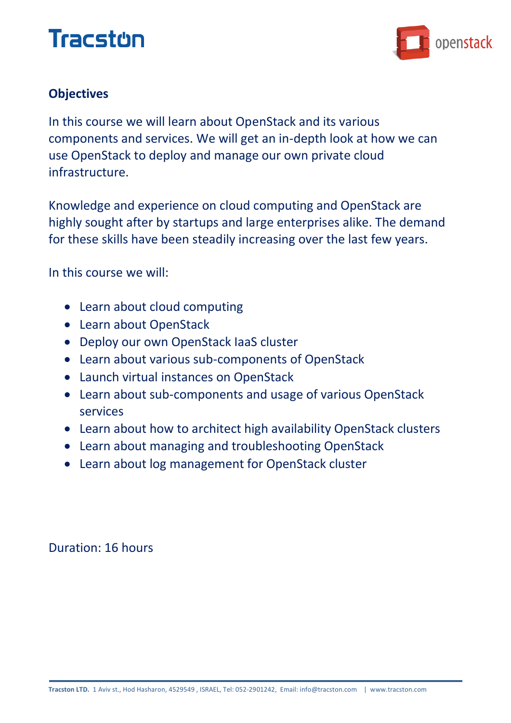

### **Objectives**

In this course we will learn about OpenStack and its various components and services. We will get an in-depth look at how we can use OpenStack to deploy and manage our own private cloud infrastructure.

Knowledge and experience on cloud computing and OpenStack are highly sought after by startups and large enterprises alike. The demand for these skills have been steadily increasing over the last few years.

In this course we will:

- Learn about cloud computing
- Learn about OpenStack
- Deploy our own OpenStack IaaS cluster
- Learn about various sub-components of OpenStack
- Launch virtual instances on OpenStack
- Learn about sub-components and usage of various OpenStack services
- Learn about how to architect high availability OpenStack clusters
- Learn about managing and troubleshooting OpenStack
- Learn about log management for OpenStack cluster

Duration: 16 hours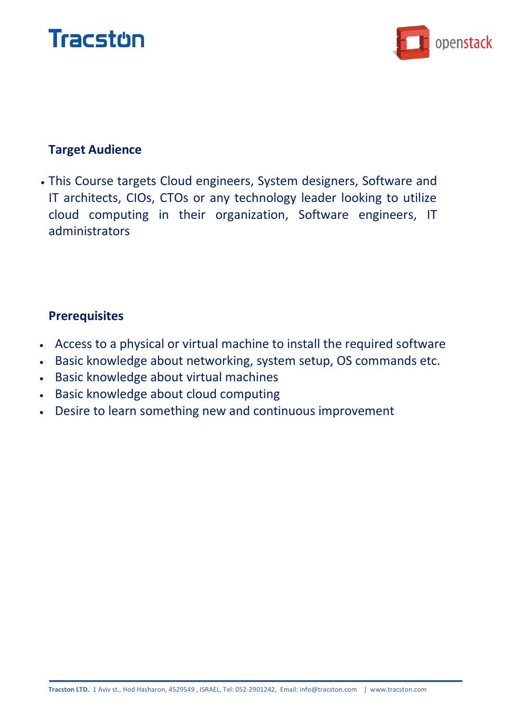



#### **Target Audience**

 This Course targets Cloud engineers, System designers, Software and IT architects, CIOs, CTOs or any technology leader looking to utilize cloud computing in their organization, Software engineers, IT administrators

#### **Prerequisites**

- Access to a physical or virtual machine to install the required software
- Basic knowledge about networking, system setup, OS commands etc.
- Basic knowledge about virtual machines
- **Basic knowledge about cloud computing**
- Desire to learn something new and continuous improvement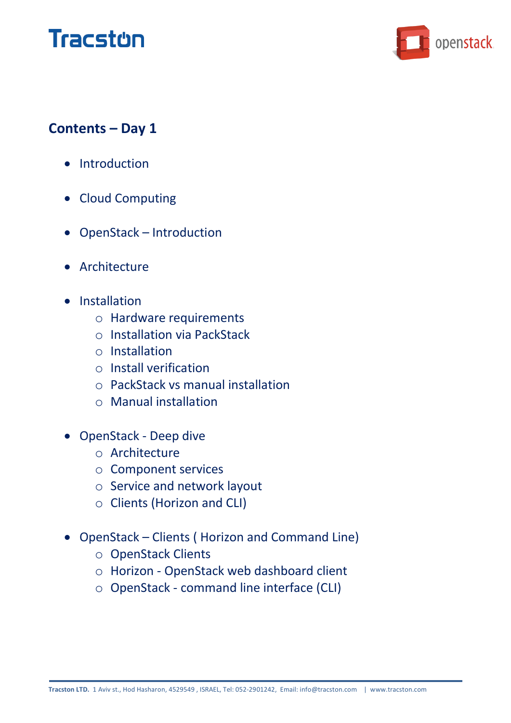

### **Contents – Day 1**

- Introduction
- Cloud Computing
- OpenStack Introduction
- Architecture
- Installation
	- o Hardware requirements
	- o Installation via PackStack
	- o Installation
	- o Install verification
	- o PackStack vs manual installation
	- o Manual installation
- OpenStack Deep dive
	- o Architecture
	- o Component services
	- o Service and network layout
	- o Clients (Horizon and CLI)
- OpenStack Clients ( Horizon and Command Line)
	- o OpenStack Clients
	- o Horizon OpenStack web dashboard client
	- o OpenStack command line interface (CLI)